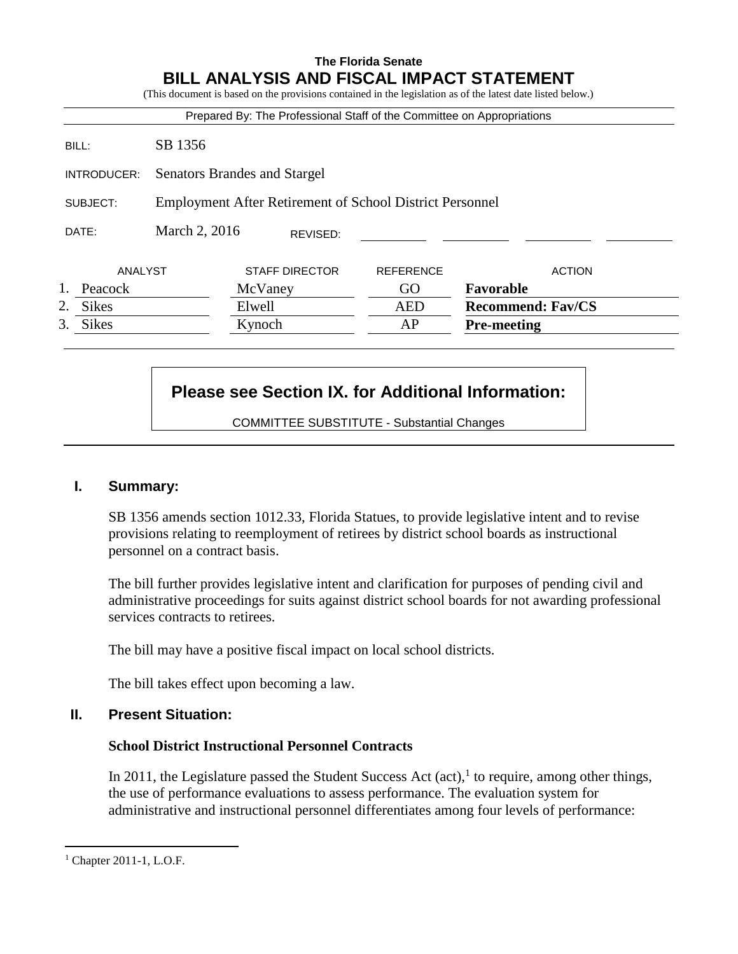## **The Florida Senate BILL ANALYSIS AND FISCAL IMPACT STATEMENT**

|                    |                                                                 | Prepared By: The Professional Staff of the Committee on Appropriations |                  |                          |
|--------------------|-----------------------------------------------------------------|------------------------------------------------------------------------|------------------|--------------------------|
| BILL:              | SB 1356                                                         |                                                                        |                  |                          |
| INTRODUCER:        | Senators Brandes and Stargel                                    |                                                                        |                  |                          |
| SUBJECT:           | <b>Employment After Retirement of School District Personnel</b> |                                                                        |                  |                          |
| DATE:              | March 2, 2016                                                   | REVISED:                                                               |                  |                          |
| ANALYST            |                                                                 | <b>STAFF DIRECTOR</b>                                                  | <b>REFERENCE</b> | <b>ACTION</b>            |
| Peacock            |                                                                 | McVaney                                                                | GO               | Favorable                |
| 2.<br><b>Sikes</b> |                                                                 | Elwell                                                                 | <b>AED</b>       | <b>Recommend: Fav/CS</b> |
| 3.<br><b>Sikes</b> |                                                                 | Kynoch                                                                 | AP               | <b>Pre-meeting</b>       |

# **Please see Section IX. for Additional Information:**

COMMITTEE SUBSTITUTE - Substantial Changes

## **I. Summary:**

SB 1356 amends section 1012.33, Florida Statues, to provide legislative intent and to revise provisions relating to reemployment of retirees by district school boards as instructional personnel on a contract basis.

The bill further provides legislative intent and clarification for purposes of pending civil and administrative proceedings for suits against district school boards for not awarding professional services contracts to retirees.

The bill may have a positive fiscal impact on local school districts.

The bill takes effect upon becoming a law.

## **II. Present Situation:**

## **School District Instructional Personnel Contracts**

In 2011, the Legislature passed the Student Success Act  $(\text{act})$ , to require, among other things, the use of performance evaluations to assess performance. The evaluation system for administrative and instructional personnel differentiates among four levels of performance:

 $<sup>1</sup>$  Chapter 2011-1, L.O.F.</sup>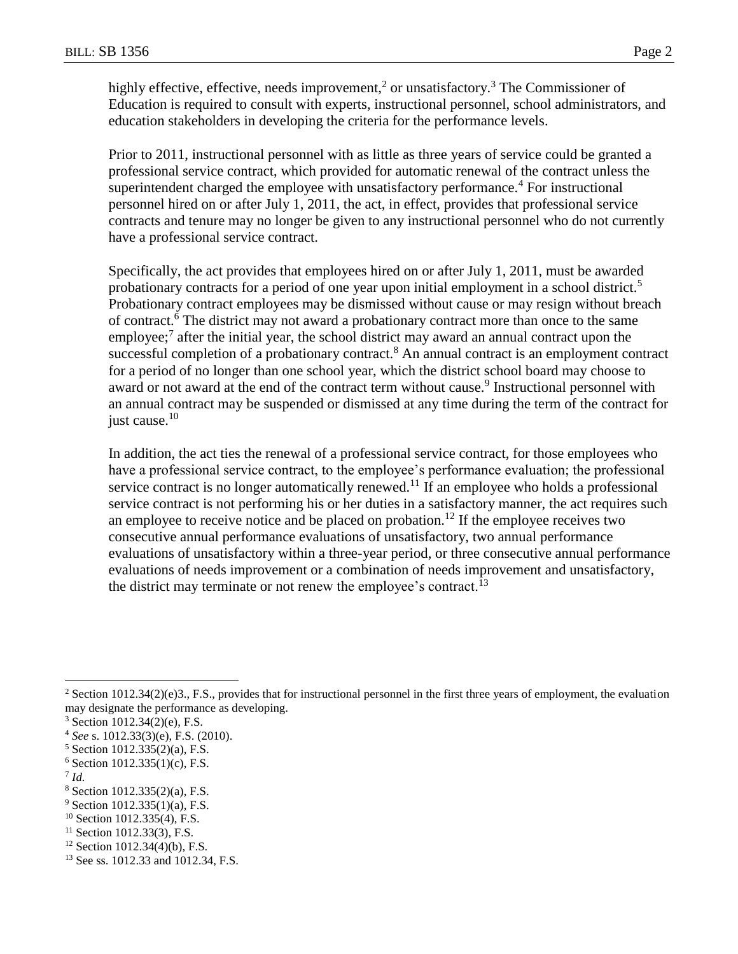highly effective, effective, needs improvement,<sup>2</sup> or unsatisfactory.<sup>3</sup> The Commissioner of Education is required to consult with experts, instructional personnel, school administrators, and education stakeholders in developing the criteria for the performance levels.

Prior to 2011, instructional personnel with as little as three years of service could be granted a professional service contract, which provided for automatic renewal of the contract unless the superintendent charged the employee with unsatisfactory performance.<sup>4</sup> For instructional personnel hired on or after July 1, 2011, the act, in effect, provides that professional service contracts and tenure may no longer be given to any instructional personnel who do not currently have a professional service contract.

Specifically, the act provides that employees hired on or after July 1, 2011, must be awarded probationary contracts for a period of one year upon initial employment in a school district.<sup>5</sup> Probationary contract employees may be dismissed without cause or may resign without breach of contract.<sup>6</sup> The district may not award a probationary contract more than once to the same employee;<sup>7</sup> after the initial year, the school district may award an annual contract upon the successful completion of a probationary contract.<sup>8</sup> An annual contract is an employment contract for a period of no longer than one school year, which the district school board may choose to award or not award at the end of the contract term without cause.<sup>9</sup> Instructional personnel with an annual contract may be suspended or dismissed at any time during the term of the contract for just cause.<sup>10</sup>

In addition, the act ties the renewal of a professional service contract, for those employees who have a professional service contract, to the employee's performance evaluation; the professional service contract is no longer automatically renewed.<sup>11</sup> If an employee who holds a professional service contract is not performing his or her duties in a satisfactory manner, the act requires such an employee to receive notice and be placed on probation.<sup>12</sup> If the employee receives two consecutive annual performance evaluations of unsatisfactory, two annual performance evaluations of unsatisfactory within a three-year period, or three consecutive annual performance evaluations of needs improvement or a combination of needs improvement and unsatisfactory, the district may terminate or not renew the employee's contract.<sup>13</sup>

7 *Id.*

<sup>&</sup>lt;sup>2</sup> Section 1012.34(2)(e)3., F.S., provides that for instructional personnel in the first three years of employment, the evaluation may designate the performance as developing.

<sup>3</sup> Section 1012.34(2)(e), F.S.

<sup>4</sup> *See* s. 1012.33(3)(e), F.S. (2010).

<sup>5</sup> Section 1012.335(2)(a), F.S.

 $6$  Section 1012.335(1)(c), F.S.

<sup>8</sup> Section 1012.335(2)(a), F.S.

 $9$  Section 1012.335(1)(a), F.S.

 $10$  Section 1012.335(4), F.S.

 $11$  Section 1012.33(3), F.S.

 $12$  Section 1012.34(4)(b), F.S.

<sup>&</sup>lt;sup>13</sup> See ss. 1012.33 and 1012.34, F.S.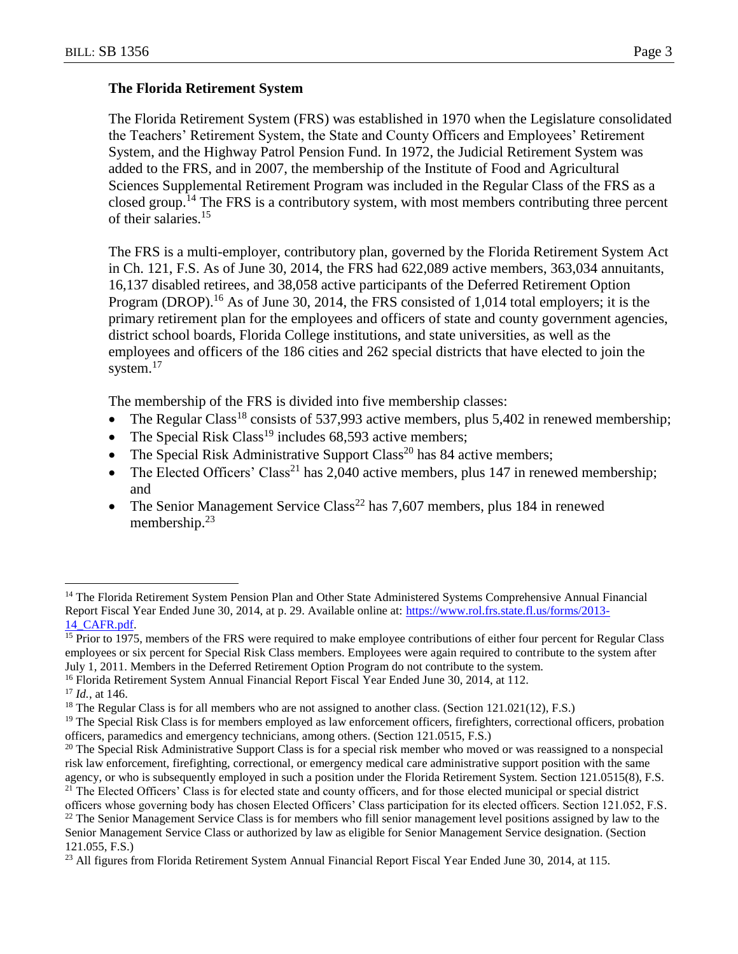#### **The Florida Retirement System**

The Florida Retirement System (FRS) was established in 1970 when the Legislature consolidated the Teachers' Retirement System, the State and County Officers and Employees' Retirement System, and the Highway Patrol Pension Fund. In 1972, the Judicial Retirement System was added to the FRS, and in 2007, the membership of the Institute of Food and Agricultural Sciences Supplemental Retirement Program was included in the Regular Class of the FRS as a closed group.<sup>14</sup> The FRS is a contributory system, with most members contributing three percent of their salaries.<sup>15</sup>

The FRS is a multi-employer, contributory plan, governed by the Florida Retirement System Act in Ch. 121, F.S. As of June 30, 2014, the FRS had 622,089 active members, 363,034 annuitants, 16,137 disabled retirees, and 38,058 active participants of the Deferred Retirement Option Program (DROP).<sup>16</sup> As of June 30, 2014, the FRS consisted of 1,014 total employers; it is the primary retirement plan for the employees and officers of state and county government agencies, district school boards, Florida College institutions, and state universities, as well as the employees and officers of the 186 cities and 262 special districts that have elected to join the system.<sup>17</sup>

The membership of the FRS is divided into five membership classes:

- The Regular Class<sup>18</sup> consists of 537,993 active members, plus 5,402 in renewed membership;
- The Special Risk Class<sup>19</sup> includes 68,593 active members;
- The Special Risk Administrative Support Class<sup>20</sup> has 84 active members;
- The Elected Officers' Class<sup>21</sup> has 2,040 active members, plus 147 in renewed membership; and
- The Senior Management Service Class<sup>22</sup> has 7,607 members, plus 184 in renewed membership.<sup>23</sup>

<sup>&</sup>lt;sup>14</sup> The Florida Retirement System Pension Plan and Other State Administered Systems Comprehensive Annual Financial Report Fiscal Year Ended June 30, 2014, at p. 29. Available online at: [https://www.rol.frs.state.fl.us/forms/2013-](https://www.rol.frs.state.fl.us/forms/2013-14_CAFR.pdf) [14\\_CAFR.pdf.](https://www.rol.frs.state.fl.us/forms/2013-14_CAFR.pdf)

<sup>&</sup>lt;sup>15</sup> Prior to 1975, members of the FRS were required to make employee contributions of either four percent for Regular Class employees or six percent for Special Risk Class members. Employees were again required to contribute to the system after July 1, 2011. Members in the Deferred Retirement Option Program do not contribute to the system.

<sup>&</sup>lt;sup>16</sup> Florida Retirement System Annual Financial Report Fiscal Year Ended June 30, 2014, at 112.

<sup>17</sup> *Id.*, at 146.

<sup>&</sup>lt;sup>18</sup> The Regular Class is for all members who are not assigned to another class. (Section 121.021(12), F.S.)

 $19$  The Special Risk Class is for members employed as law enforcement officers, firefighters, correctional officers, probation officers, paramedics and emergency technicians, among others. (Section 121.0515, F.S.)

<sup>&</sup>lt;sup>20</sup> The Special Risk Administrative Support Class is for a special risk member who moved or was reassigned to a nonspecial risk law enforcement, firefighting, correctional, or emergency medical care administrative support position with the same agency, or who is subsequently employed in such a position under the Florida Retirement System. Section 121.0515(8), F.S.

<sup>&</sup>lt;sup>21</sup> The Elected Officers' Class is for elected state and county officers, and for those elected municipal or special district officers whose governing body has chosen Elected Officers' Class participation for its elected officers. Section 121.052, F.S.

 $22$  The Senior Management Service Class is for members who fill senior management level positions assigned by law to the Senior Management Service Class or authorized by law as eligible for Senior Management Service designation. (Section

<sup>121.055,</sup> F.S.)

<sup>&</sup>lt;sup>23</sup> All figures from Florida Retirement System Annual Financial Report Fiscal Year Ended June 30, 2014, at 115.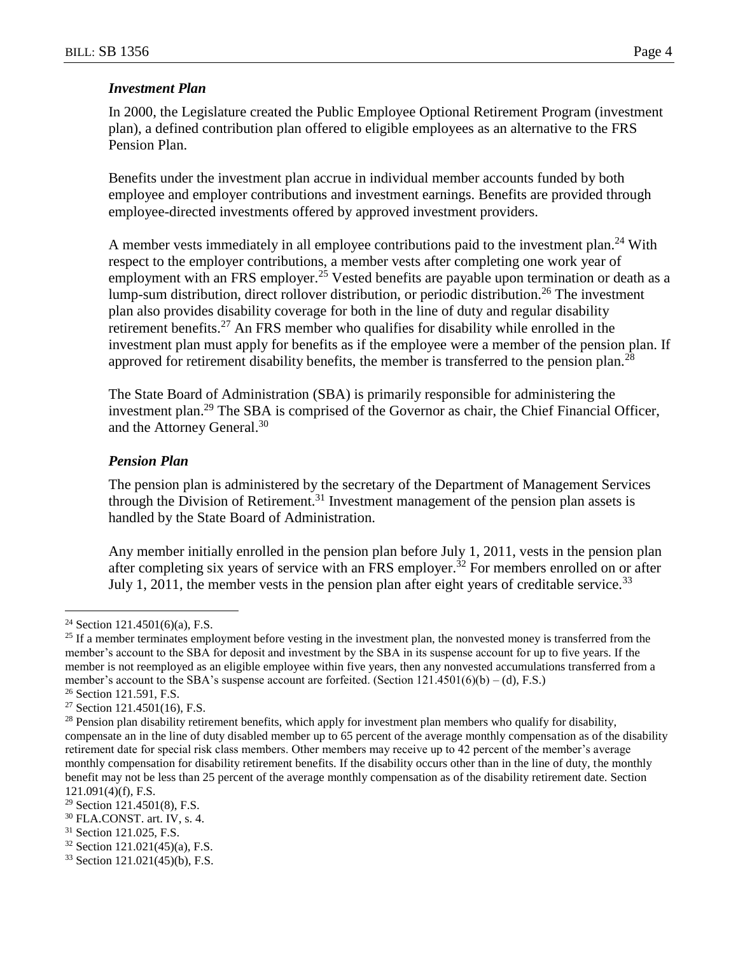# *Investment Plan*

In 2000, the Legislature created the Public Employee Optional Retirement Program (investment plan), a defined contribution plan offered to eligible employees as an alternative to the FRS Pension Plan.

Benefits under the investment plan accrue in individual member accounts funded by both employee and employer contributions and investment earnings. Benefits are provided through employee-directed investments offered by approved investment providers.

A member vests immediately in all employee contributions paid to the investment plan.<sup>24</sup> With respect to the employer contributions, a member vests after completing one work year of employment with an FRS employer.<sup>25</sup> Vested benefits are payable upon termination or death as a lump-sum distribution, direct rollover distribution, or periodic distribution.<sup>26</sup> The investment plan also provides disability coverage for both in the line of duty and regular disability retirement benefits.<sup>27</sup> An FRS member who qualifies for disability while enrolled in the investment plan must apply for benefits as if the employee were a member of the pension plan. If approved for retirement disability benefits, the member is transferred to the pension plan.<sup>28</sup>

The State Board of Administration (SBA) is primarily responsible for administering the investment plan.<sup>29</sup> The SBA is comprised of the Governor as chair, the Chief Financial Officer, and the Attorney General.<sup>30</sup>

## *Pension Plan*

The pension plan is administered by the secretary of the Department of Management Services through the Division of Retirement.<sup>31</sup> Investment management of the pension plan assets is handled by the State Board of Administration.

Any member initially enrolled in the pension plan before July 1, 2011, vests in the pension plan after completing six years of service with an FRS employer.<sup>32</sup> For members enrolled on or after July 1, 2011, the member vests in the pension plan after eight years of creditable service.<sup>33</sup>

 $\overline{a}$  $24$  Section 121.4501(6)(a), F.S.

 $25$  If a member terminates employment before vesting in the investment plan, the nonvested money is transferred from the member's account to the SBA for deposit and investment by the SBA in its suspense account for up to five years. If the member is not reemployed as an eligible employee within five years, then any nonvested accumulations transferred from a member's account to the SBA's suspense account are forfeited. (Section 121.4501(6)(b) – (d), F.S.)

<sup>&</sup>lt;sup>26</sup> Section 121.591, F.S.

 $27$  Section 121.4501(16), F.S.

<sup>&</sup>lt;sup>28</sup> Pension plan disability retirement benefits, which apply for investment plan members who qualify for disability, compensate an in the line of duty disabled member up to 65 percent of the average monthly compensation as of the disability retirement date for special risk class members. Other members may receive up to 42 percent of the member's average monthly compensation for disability retirement benefits. If the disability occurs other than in the line of duty, the monthly benefit may not be less than 25 percent of the average monthly compensation as of the disability retirement date. Section 121.091(4)(f), F.S.

 $29$  Section 121.4501(8), F.S.

<sup>30</sup> FLA.CONST. art. IV, s. 4.

<sup>&</sup>lt;sup>31</sup> Section 121.025, F.S.

<sup>32</sup> Section 121.021(45)(a), F.S.

<sup>33</sup> Section 121.021(45)(b), F.S.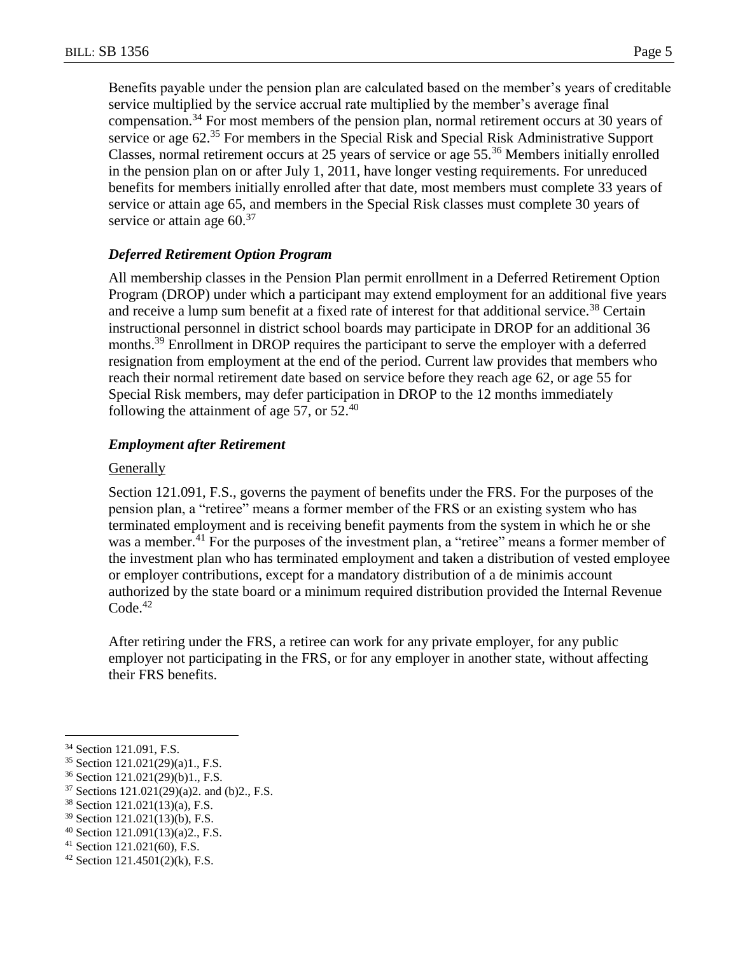Benefits payable under the pension plan are calculated based on the member's years of creditable service multiplied by the service accrual rate multiplied by the member's average final compensation.<sup>34</sup> For most members of the pension plan, normal retirement occurs at 30 years of service or age 62.<sup>35</sup> For members in the Special Risk and Special Risk Administrative Support Classes, normal retirement occurs at 25 years of service or age 55.<sup>36</sup> Members initially enrolled in the pension plan on or after July 1, 2011, have longer vesting requirements. For unreduced benefits for members initially enrolled after that date, most members must complete 33 years of service or attain age 65, and members in the Special Risk classes must complete 30 years of service or attain age  $60<sup>37</sup>$ 

## *Deferred Retirement Option Program*

All membership classes in the Pension Plan permit enrollment in a Deferred Retirement Option Program (DROP) under which a participant may extend employment for an additional five years and receive a lump sum benefit at a fixed rate of interest for that additional service.<sup>38</sup> Certain instructional personnel in district school boards may participate in DROP for an additional 36 months.<sup>39</sup> Enrollment in DROP requires the participant to serve the employer with a deferred resignation from employment at the end of the period. Current law provides that members who reach their normal retirement date based on service before they reach age 62, or age 55 for Special Risk members, may defer participation in DROP to the 12 months immediately following the attainment of age 57, or  $52<sup>40</sup>$ 

#### *Employment after Retirement*

#### **Generally**

Section 121.091, F.S., governs the payment of benefits under the FRS. For the purposes of the pension plan, a "retiree" means a former member of the FRS or an existing system who has terminated employment and is receiving benefit payments from the system in which he or she was a member.<sup>41</sup> For the purposes of the investment plan, a "retiree" means a former member of the investment plan who has terminated employment and taken a distribution of vested employee or employer contributions, except for a mandatory distribution of a de minimis account authorized by the state board or a minimum required distribution provided the Internal Revenue  $Code.<sup>42</sup>$ 

After retiring under the FRS, a retiree can work for any private employer, for any public employer not participating in the FRS, or for any employer in another state, without affecting their FRS benefits.

 $\overline{a}$ 

<sup>41</sup> Section 121.021(60), F.S.

<sup>34</sup> Section 121.091, F.S.

<sup>35</sup> Section 121.021(29)(a)1., F.S.

<sup>36</sup> Section 121.021(29)(b)1., F.S.

<sup>37</sup> Sections 121.021(29)(a)2. and (b)2., F.S.

<sup>38</sup> Section 121.021(13)(a), F.S.

<sup>39</sup> Section 121.021(13)(b), F.S.

<sup>40</sup> Section 121.091(13)(a)2., F.S.

 $42$  Section 121.4501(2)(k), F.S.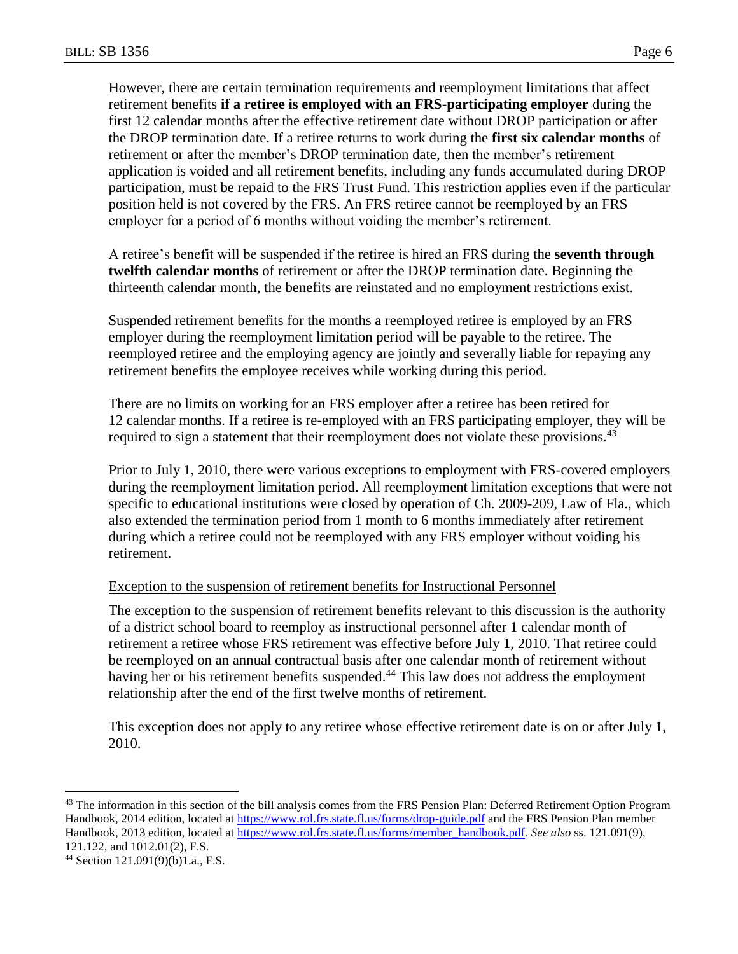However, there are certain termination requirements and reemployment limitations that affect retirement benefits **if a retiree is employed with an FRS-participating employer** during the first 12 calendar months after the effective retirement date without DROP participation or after the DROP termination date. If a retiree returns to work during the **first six calendar months** of retirement or after the member's DROP termination date, then the member's retirement application is voided and all retirement benefits, including any funds accumulated during DROP participation, must be repaid to the FRS Trust Fund. This restriction applies even if the particular position held is not covered by the FRS. An FRS retiree cannot be reemployed by an FRS employer for a period of 6 months without voiding the member's retirement.

A retiree's benefit will be suspended if the retiree is hired an FRS during the **seventh through twelfth calendar months** of retirement or after the DROP termination date. Beginning the thirteenth calendar month, the benefits are reinstated and no employment restrictions exist.

Suspended retirement benefits for the months a reemployed retiree is employed by an FRS employer during the reemployment limitation period will be payable to the retiree. The reemployed retiree and the employing agency are jointly and severally liable for repaying any retirement benefits the employee receives while working during this period.

There are no limits on working for an FRS employer after a retiree has been retired for 12 calendar months. If a retiree is re-employed with an FRS participating employer, they will be required to sign a statement that their reemployment does not violate these provisions.<sup>43</sup>

Prior to July 1, 2010, there were various exceptions to employment with FRS-covered employers during the reemployment limitation period. All reemployment limitation exceptions that were not specific to educational institutions were closed by operation of Ch. 2009-209, Law of Fla., which also extended the termination period from 1 month to 6 months immediately after retirement during which a retiree could not be reemployed with any FRS employer without voiding his retirement.

#### Exception to the suspension of retirement benefits for Instructional Personnel

The exception to the suspension of retirement benefits relevant to this discussion is the authority of a district school board to reemploy as instructional personnel after 1 calendar month of retirement a retiree whose FRS retirement was effective before July 1, 2010. That retiree could be reemployed on an annual contractual basis after one calendar month of retirement without having her or his retirement benefits suspended.<sup>44</sup> This law does not address the employment relationship after the end of the first twelve months of retirement.

This exception does not apply to any retiree whose effective retirement date is on or after July 1, 2010.

<sup>&</sup>lt;sup>43</sup> The information in this section of the bill analysis comes from the FRS Pension Plan: Deferred Retirement Option Program Handbook, 2014 edition, located at<https://www.rol.frs.state.fl.us/forms/drop-guide.pdf> and the FRS Pension Plan member Handbook, 2013 edition, located at [https://www.rol.frs.state.fl.us/forms/member\\_handbook.pdf.](https://www.rol.frs.state.fl.us/forms/member_handbook.pdf) *See also* ss. 121.091(9), 121.122, and 1012.01(2), F.S.

<sup>44</sup> Section 121.091(9)(b)1.a., F.S.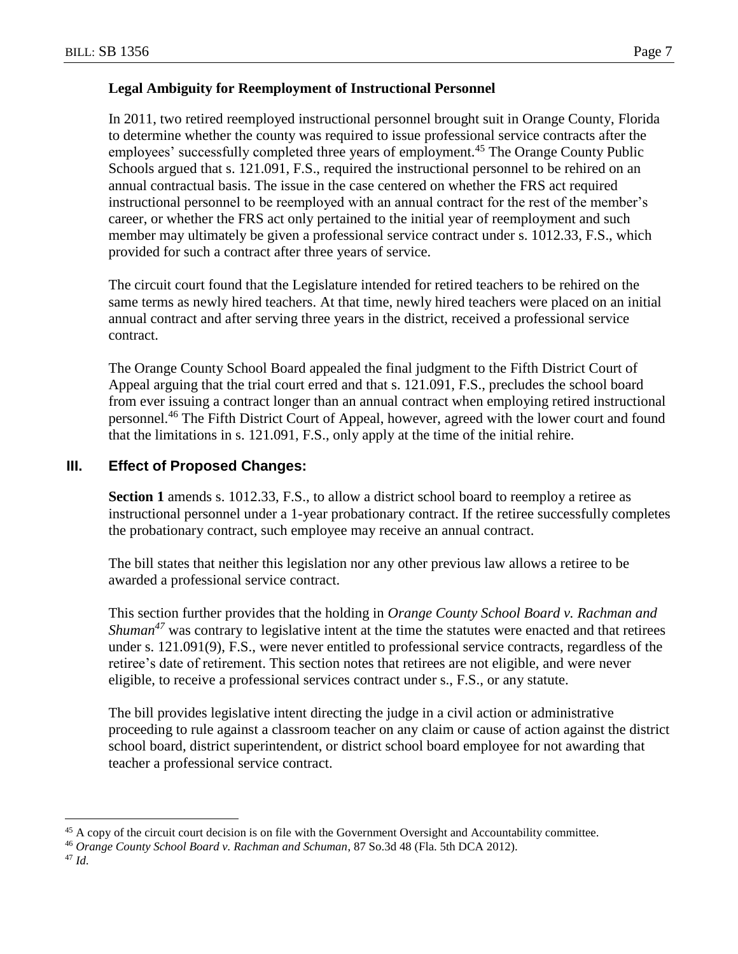## **Legal Ambiguity for Reemployment of Instructional Personnel**

In 2011, two retired reemployed instructional personnel brought suit in Orange County, Florida to determine whether the county was required to issue professional service contracts after the employees' successfully completed three years of employment.<sup>45</sup> The Orange County Public Schools argued that s. 121.091, F.S., required the instructional personnel to be rehired on an annual contractual basis. The issue in the case centered on whether the FRS act required instructional personnel to be reemployed with an annual contract for the rest of the member's career, or whether the FRS act only pertained to the initial year of reemployment and such member may ultimately be given a professional service contract under s. 1012.33, F.S., which provided for such a contract after three years of service.

The circuit court found that the Legislature intended for retired teachers to be rehired on the same terms as newly hired teachers. At that time, newly hired teachers were placed on an initial annual contract and after serving three years in the district, received a professional service contract.

The Orange County School Board appealed the final judgment to the Fifth District Court of Appeal arguing that the trial court erred and that s. 121.091, F.S., precludes the school board from ever issuing a contract longer than an annual contract when employing retired instructional personnel.<sup>46</sup> The Fifth District Court of Appeal, however, agreed with the lower court and found that the limitations in s. 121.091, F.S., only apply at the time of the initial rehire.

## **III. Effect of Proposed Changes:**

Section 1 amends s. 1012.33, F.S., to allow a district school board to reemploy a retiree as instructional personnel under a 1-year probationary contract. If the retiree successfully completes the probationary contract, such employee may receive an annual contract.

The bill states that neither this legislation nor any other previous law allows a retiree to be awarded a professional service contract.

This section further provides that the holding in *Orange County School Board v. Rachman and Shuman*<sup>47</sup> was contrary to legislative intent at the time the statutes were enacted and that retirees under s. 121.091(9), F.S., were never entitled to professional service contracts, regardless of the retiree's date of retirement. This section notes that retirees are not eligible, and were never eligible, to receive a professional services contract under s., F.S., or any statute.

The bill provides legislative intent directing the judge in a civil action or administrative proceeding to rule against a classroom teacher on any claim or cause of action against the district school board, district superintendent, or district school board employee for not awarding that teacher a professional service contract.

 $\overline{a}$ <sup>45</sup> A copy of the circuit court decision is on file with the Government Oversight and Accountability committee.

<sup>46</sup> *Orange County School Board v. Rachman and Schuman*, 87 So.3d 48 (Fla. 5th DCA 2012).

<sup>47</sup> *Id.*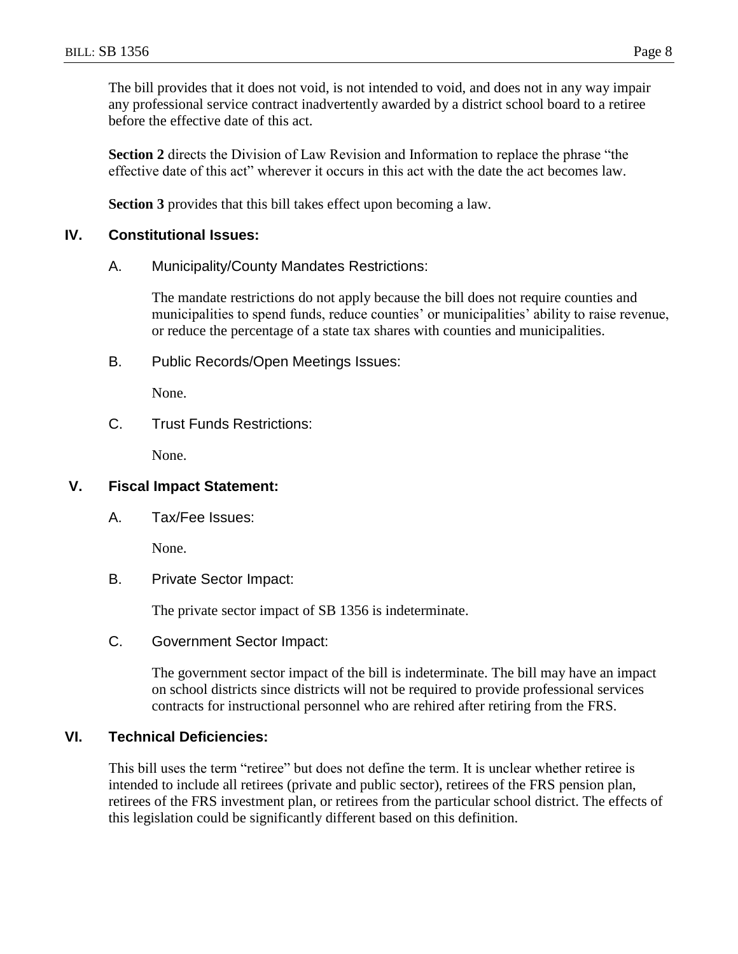The bill provides that it does not void, is not intended to void, and does not in any way impair any professional service contract inadvertently awarded by a district school board to a retiree before the effective date of this act.

**Section 2** directs the Division of Law Revision and Information to replace the phrase "the effective date of this act" wherever it occurs in this act with the date the act becomes law.

**Section 3** provides that this bill takes effect upon becoming a law.

## **IV. Constitutional Issues:**

A. Municipality/County Mandates Restrictions:

The mandate restrictions do not apply because the bill does not require counties and municipalities to spend funds, reduce counties' or municipalities' ability to raise revenue, or reduce the percentage of a state tax shares with counties and municipalities.

B. Public Records/Open Meetings Issues:

None.

C. Trust Funds Restrictions:

None.

## **V. Fiscal Impact Statement:**

A. Tax/Fee Issues:

None.

B. Private Sector Impact:

The private sector impact of SB 1356 is indeterminate.

C. Government Sector Impact:

The government sector impact of the bill is indeterminate. The bill may have an impact on school districts since districts will not be required to provide professional services contracts for instructional personnel who are rehired after retiring from the FRS.

## **VI. Technical Deficiencies:**

This bill uses the term "retiree" but does not define the term. It is unclear whether retiree is intended to include all retirees (private and public sector), retirees of the FRS pension plan, retirees of the FRS investment plan, or retirees from the particular school district. The effects of this legislation could be significantly different based on this definition.